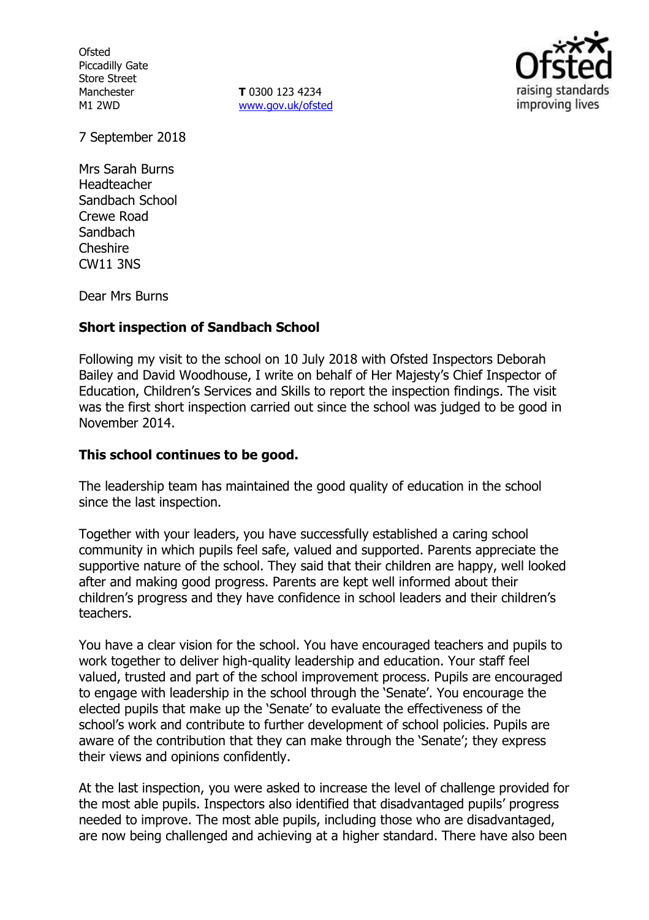**Ofsted** Piccadilly Gate Store Street Manchester M1 2WD

**T** 0300 123 4234 www.gov.uk/ofsted



7 September 2018

Mrs Sarah Burns Headteacher Sandbach School Crewe Road Sandbach Cheshire CW11 3NS

Dear Mrs Burns

### **Short inspection of Sandbach School**

Following my visit to the school on 10 July 2018 with Ofsted Inspectors Deborah Bailey and David Woodhouse, I write on behalf of Her Majesty's Chief Inspector of Education, Children's Services and Skills to report the inspection findings. The visit was the first short inspection carried out since the school was judged to be good in November 2014.

### **This school continues to be good.**

The leadership team has maintained the good quality of education in the school since the last inspection.

Together with your leaders, you have successfully established a caring school community in which pupils feel safe, valued and supported. Parents appreciate the supportive nature of the school. They said that their children are happy, well looked after and making good progress. Parents are kept well informed about their children's progress and they have confidence in school leaders and their children's teachers.

You have a clear vision for the school. You have encouraged teachers and pupils to work together to deliver high-quality leadership and education. Your staff feel valued, trusted and part of the school improvement process. Pupils are encouraged to engage with leadership in the school through the 'Senate'. You encourage the elected pupils that make up the 'Senate' to evaluate the effectiveness of the school's work and contribute to further development of school policies. Pupils are aware of the contribution that they can make through the 'Senate'; they express their views and opinions confidently.

At the last inspection, you were asked to increase the level of challenge provided for the most able pupils. Inspectors also identified that disadvantaged pupils' progress needed to improve. The most able pupils, including those who are disadvantaged, are now being challenged and achieving at a higher standard. There have also been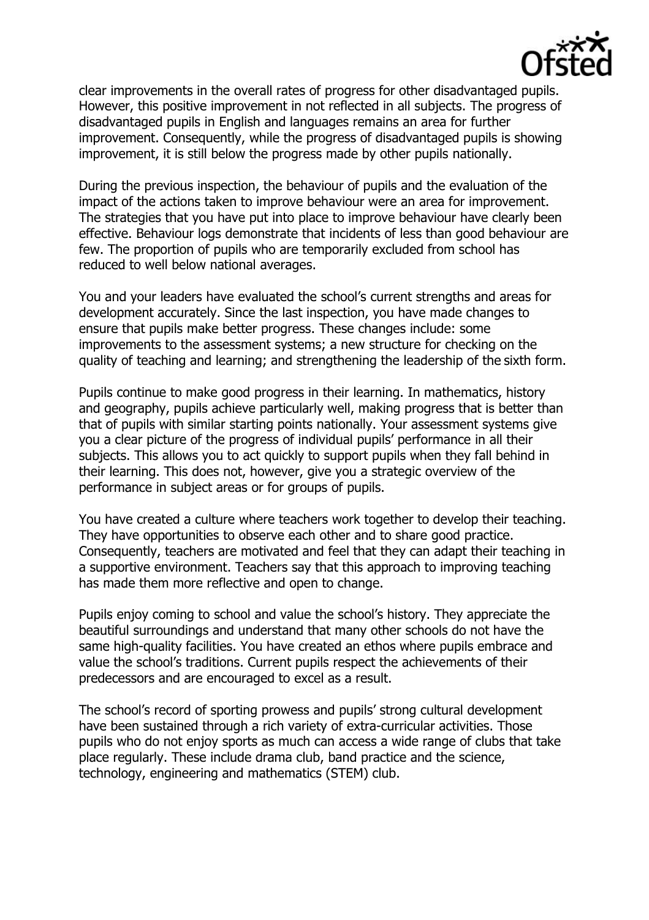

clear improvements in the overall rates of progress for other disadvantaged pupils. However, this positive improvement in not reflected in all subjects. The progress of disadvantaged pupils in English and languages remains an area for further improvement. Consequently, while the progress of disadvantaged pupils is showing improvement, it is still below the progress made by other pupils nationally.

During the previous inspection, the behaviour of pupils and the evaluation of the impact of the actions taken to improve behaviour were an area for improvement. The strategies that you have put into place to improve behaviour have clearly been effective. Behaviour logs demonstrate that incidents of less than good behaviour are few. The proportion of pupils who are temporarily excluded from school has reduced to well below national averages.

You and your leaders have evaluated the school's current strengths and areas for development accurately. Since the last inspection, you have made changes to ensure that pupils make better progress. These changes include: some improvements to the assessment systems; a new structure for checking on the quality of teaching and learning; and strengthening the leadership of the sixth form.

Pupils continue to make good progress in their learning. In mathematics, history and geography, pupils achieve particularly well, making progress that is better than that of pupils with similar starting points nationally. Your assessment systems give you a clear picture of the progress of individual pupils' performance in all their subjects. This allows you to act quickly to support pupils when they fall behind in their learning. This does not, however, give you a strategic overview of the performance in subject areas or for groups of pupils.

You have created a culture where teachers work together to develop their teaching. They have opportunities to observe each other and to share good practice. Consequently, teachers are motivated and feel that they can adapt their teaching in a supportive environment. Teachers say that this approach to improving teaching has made them more reflective and open to change.

Pupils enjoy coming to school and value the school's history. They appreciate the beautiful surroundings and understand that many other schools do not have the same high-quality facilities. You have created an ethos where pupils embrace and value the school's traditions. Current pupils respect the achievements of their predecessors and are encouraged to excel as a result.

The school's record of sporting prowess and pupils' strong cultural development have been sustained through a rich variety of extra-curricular activities. Those pupils who do not enjoy sports as much can access a wide range of clubs that take place regularly. These include drama club, band practice and the science, technology, engineering and mathematics (STEM) club.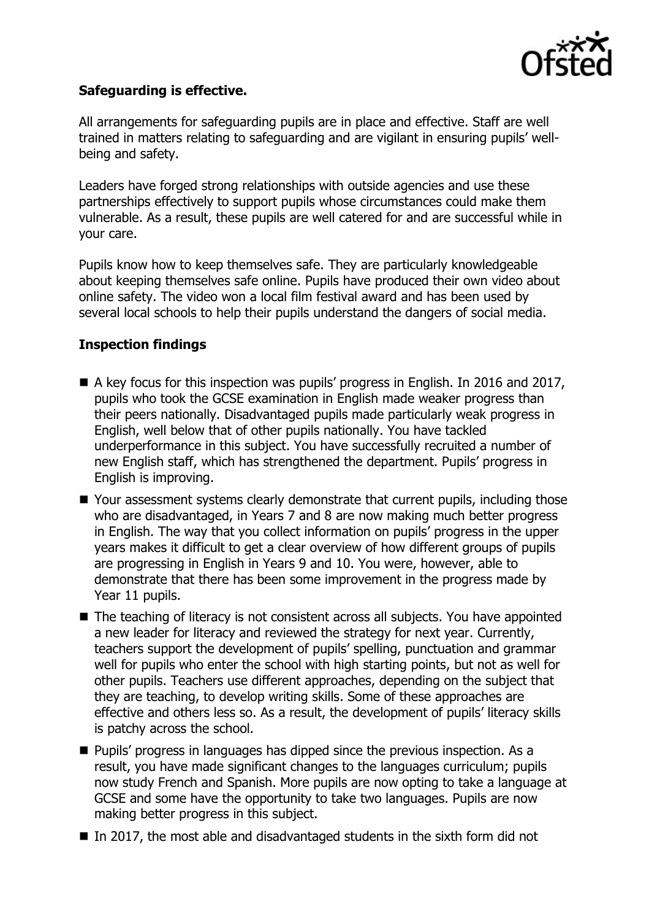

# **Safeguarding is effective.**

All arrangements for safeguarding pupils are in place and effective. Staff are well trained in matters relating to safeguarding and are vigilant in ensuring pupils' wellbeing and safety.

Leaders have forged strong relationships with outside agencies and use these partnerships effectively to support pupils whose circumstances could make them vulnerable. As a result, these pupils are well catered for and are successful while in your care.

Pupils know how to keep themselves safe. They are particularly knowledgeable about keeping themselves safe online. Pupils have produced their own video about online safety. The video won a local film festival award and has been used by several local schools to help their pupils understand the dangers of social media.

# **Inspection findings**

- $\blacksquare$  A key focus for this inspection was pupils' progress in English. In 2016 and 2017, pupils who took the GCSE examination in English made weaker progress than their peers nationally. Disadvantaged pupils made particularly weak progress in English, well below that of other pupils nationally. You have tackled underperformance in this subject. You have successfully recruited a number of new English staff, which has strengthened the department. Pupils' progress in English is improving.
- Your assessment systems clearly demonstrate that current pupils, including those who are disadvantaged, in Years 7 and 8 are now making much better progress in English. The way that you collect information on pupils' progress in the upper years makes it difficult to get a clear overview of how different groups of pupils are progressing in English in Years 9 and 10. You were, however, able to demonstrate that there has been some improvement in the progress made by Year 11 pupils.
- The teaching of literacy is not consistent across all subjects. You have appointed a new leader for literacy and reviewed the strategy for next year. Currently, teachers support the development of pupils' spelling, punctuation and grammar well for pupils who enter the school with high starting points, but not as well for other pupils. Teachers use different approaches, depending on the subject that they are teaching, to develop writing skills. Some of these approaches are effective and others less so. As a result, the development of pupils' literacy skills is patchy across the school.
- **Pupils' progress in languages has dipped since the previous inspection. As a** result, you have made significant changes to the languages curriculum; pupils now study French and Spanish. More pupils are now opting to take a language at GCSE and some have the opportunity to take two languages. Pupils are now making better progress in this subject.
- In 2017, the most able and disadvantaged students in the sixth form did not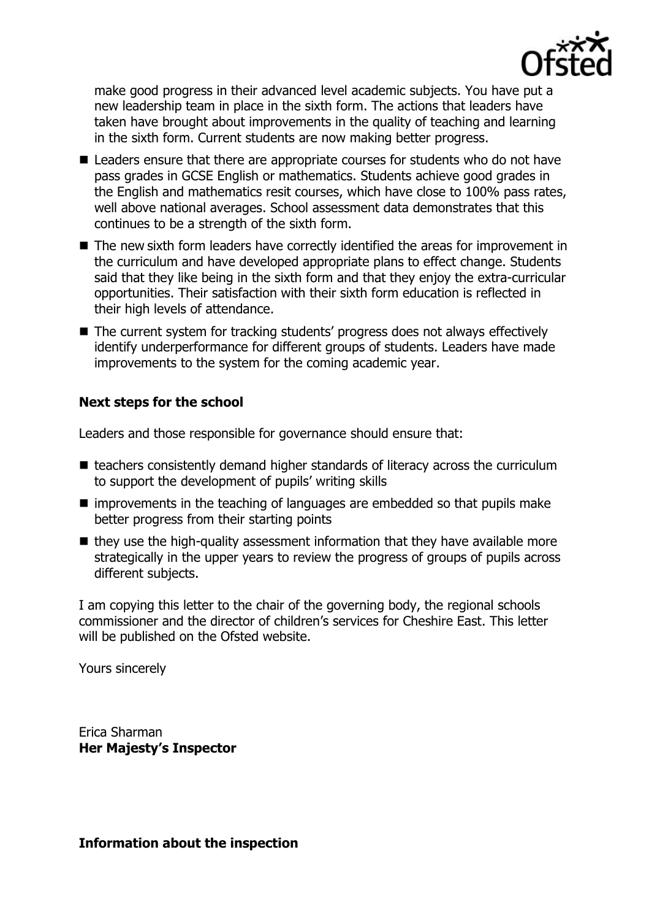

make good progress in their advanced level academic subjects. You have put a new leadership team in place in the sixth form. The actions that leaders have taken have brought about improvements in the quality of teaching and learning in the sixth form. Current students are now making better progress.

- Leaders ensure that there are appropriate courses for students who do not have pass grades in GCSE English or mathematics. Students achieve good grades in the English and mathematics resit courses, which have close to 100% pass rates, well above national averages. School assessment data demonstrates that this continues to be a strength of the sixth form.
- The new sixth form leaders have correctly identified the areas for improvement in the curriculum and have developed appropriate plans to effect change. Students said that they like being in the sixth form and that they enjoy the extra-curricular opportunities. Their satisfaction with their sixth form education is reflected in their high levels of attendance.
- The current system for tracking students' progress does not always effectively identify underperformance for different groups of students. Leaders have made improvements to the system for the coming academic year.

# **Next steps for the school**

Leaders and those responsible for governance should ensure that:

- $\blacksquare$  teachers consistently demand higher standards of literacy across the curriculum to support the development of pupils' writing skills
- $\blacksquare$  improvements in the teaching of languages are embedded so that pupils make better progress from their starting points
- $\blacksquare$  they use the high-quality assessment information that they have available more strategically in the upper years to review the progress of groups of pupils across different subjects.

I am copying this letter to the chair of the governing body, the regional schools commissioner and the director of children's services for Cheshire East. This letter will be published on the Ofsted website.

Yours sincerely

Erica Sharman **Her Majesty's Inspector**

**Information about the inspection**